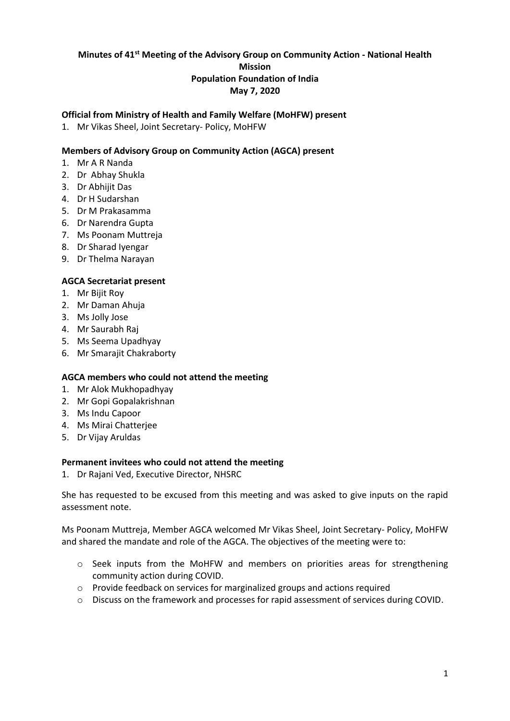# **Minutes of 41st Meeting of the Advisory Group on Community Action - National Health Mission Population Foundation of India May 7, 2020**

## **Official from Ministry of Health and Family Welfare (MoHFW) present**

1. Mr Vikas Sheel, Joint Secretary- Policy, MoHFW

## **Members of Advisory Group on Community Action (AGCA) present**

- 1. Mr A R Nanda
- 2. Dr Abhay Shukla
- 3. Dr Abhijit Das
- 4. Dr H Sudarshan
- 5. Dr M Prakasamma
- 6. Dr Narendra Gupta
- 7. Ms Poonam Muttreja
- 8. Dr Sharad Iyengar
- 9. Dr Thelma Narayan

#### **AGCA Secretariat present**

- 1. Mr Bijit Roy
- 2. Mr Daman Ahuja
- 3. Ms Jolly Jose
- 4. Mr Saurabh Raj
- 5. Ms Seema Upadhyay
- 6. Mr Smarajit Chakraborty

#### **AGCA members who could not attend the meeting**

- 1. Mr Alok Mukhopadhyay
- 2. Mr Gopi Gopalakrishnan
- 3. Ms Indu Capoor
- 4. Ms Mirai Chatterjee
- 5. Dr Vijay Aruldas

#### **Permanent invitees who could not attend the meeting**

1. Dr Rajani Ved, Executive Director, NHSRC

She has requested to be excused from this meeting and was asked to give inputs on the rapid assessment note.

Ms Poonam Muttreja, Member AGCA welcomed Mr Vikas Sheel, Joint Secretary- Policy, MoHFW and shared the mandate and role of the AGCA. The objectives of the meeting were to:

- $\circ$  Seek inputs from the MoHFW and members on priorities areas for strengthening community action during COVID.
- o Provide feedback on services for marginalized groups and actions required
- o Discuss on the framework and processes for rapid assessment of services during COVID.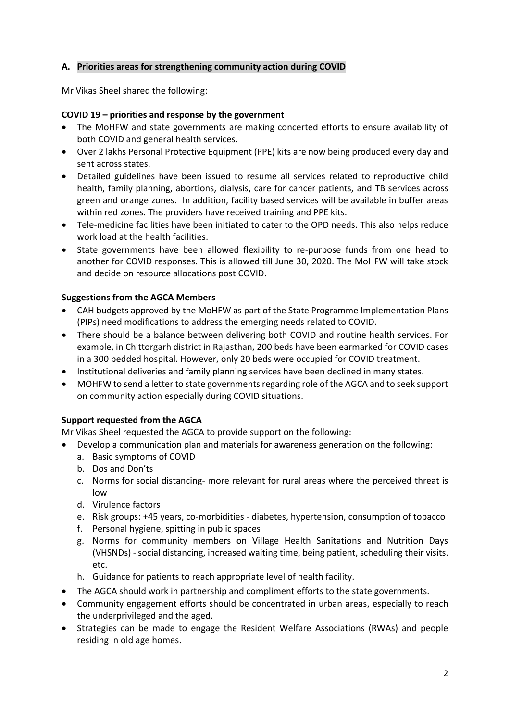# **A. Priorities areas for strengthening community action during COVID**

Mr Vikas Sheel shared the following:

# **COVID 19 – priorities and response by the government**

- The MoHFW and state governments are making concerted efforts to ensure availability of both COVID and general health services.
- Over 2 lakhs Personal Protective Equipment (PPE) kits are now being produced every day and sent across states.
- Detailed guidelines have been issued to resume all services related to reproductive child health, family planning, abortions, dialysis, care for cancer patients, and TB services across green and orange zones. In addition, facility based services will be available in buffer areas within red zones. The providers have received training and PPE kits.
- Tele-medicine facilities have been initiated to cater to the OPD needs. This also helps reduce work load at the health facilities.
- State governments have been allowed flexibility to re-purpose funds from one head to another for COVID responses. This is allowed till June 30, 2020. The MoHFW will take stock and decide on resource allocations post COVID.

# **Suggestions from the AGCA Members**

- CAH budgets approved by the MoHFW as part of the State Programme Implementation Plans (PIPs) need modifications to address the emerging needs related to COVID.
- There should be a balance between delivering both COVID and routine health services. For example, in Chittorgarh district in Rajasthan, 200 beds have been earmarked for COVID cases in a 300 bedded hospital. However, only 20 beds were occupied for COVID treatment.
- Institutional deliveries and family planning services have been declined in many states.
- MOHFW to send a letter to state governments regarding role of the AGCA and to seek support on community action especially during COVID situations.

# **Support requested from the AGCA**

Mr Vikas Sheel requested the AGCA to provide support on the following:

- Develop a communication plan and materials for awareness generation on the following:
	- a. Basic symptoms of COVID
	- b. Dos and Don'ts
	- c. Norms for social distancing- more relevant for rural areas where the perceived threat is low
	- d. Virulence factors
	- e. Risk groups: +45 years, co-morbidities diabetes, hypertension, consumption of tobacco
	- f. Personal hygiene, spitting in public spaces
	- g. Norms for community members on Village Health Sanitations and Nutrition Days (VHSNDs) - social distancing, increased waiting time, being patient, scheduling their visits. etc.
	- h. Guidance for patients to reach appropriate level of health facility.
- The AGCA should work in partnership and compliment efforts to the state governments.
- Community engagement efforts should be concentrated in urban areas, especially to reach the underprivileged and the aged.
- Strategies can be made to engage the Resident Welfare Associations (RWAs) and people residing in old age homes.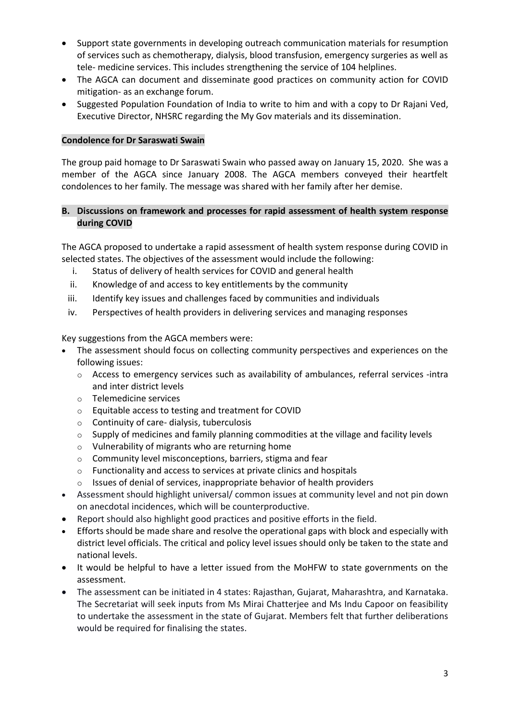- Support state governments in developing outreach communication materials for resumption of services such as chemotherapy, dialysis, blood transfusion, emergency surgeries as well as tele- medicine services. This includes strengthening the service of 104 helplines.
- The AGCA can document and disseminate good practices on community action for COVID mitigation- as an exchange forum.
- Suggested Population Foundation of India to write to him and with a copy to Dr Rajani Ved, Executive Director, NHSRC regarding the My Gov materials and its dissemination.

#### **Condolence for Dr Saraswati Swain**

The group paid homage to Dr Saraswati Swain who passed away on January 15, 2020. She was a member of the AGCA since January 2008. The AGCA members conveyed their heartfelt condolences to her family. The message was shared with her family after her demise.

#### **B. Discussions on framework and processes for rapid assessment of health system response during COVID**

The AGCA proposed to undertake a rapid assessment of health system response during COVID in selected states. The objectives of the assessment would include the following:

- i. Status of delivery of health services for COVID and general health
- ii. Knowledge of and access to key entitlements by the community
- iii. Identify key issues and challenges faced by communities and individuals
- iv. Perspectives of health providers in delivering services and managing responses

Key suggestions from the AGCA members were:

- The assessment should focus on collecting community perspectives and experiences on the following issues:
	- $\circ$  Access to emergency services such as availability of ambulances, referral services -intra and inter district levels
	- o Telemedicine services
	- o Equitable access to testing and treatment for COVID
	- $\circ$  Continuity of care-dialysis, tuberculosis
	- $\circ$  Supply of medicines and family planning commodities at the village and facility levels
	- o Vulnerability of migrants who are returning home
	- o Community level misconceptions, barriers, stigma and fear
	- o Functionality and access to services at private clinics and hospitals
	- o Issues of denial of services, inappropriate behavior of health providers
- Assessment should highlight universal/ common issues at community level and not pin down on anecdotal incidences, which will be counterproductive.
- Report should also highlight good practices and positive efforts in the field.
- Efforts should be made share and resolve the operational gaps with block and especially with district level officials. The critical and policy level issues should only be taken to the state and national levels.
- It would be helpful to have a letter issued from the MoHFW to state governments on the assessment.
- The assessment can be initiated in 4 states: Rajasthan, Gujarat, Maharashtra, and Karnataka. The Secretariat will seek inputs from Ms Mirai Chatterjee and Ms Indu Capoor on feasibility to undertake the assessment in the state of Gujarat. Members felt that further deliberations would be required for finalising the states.